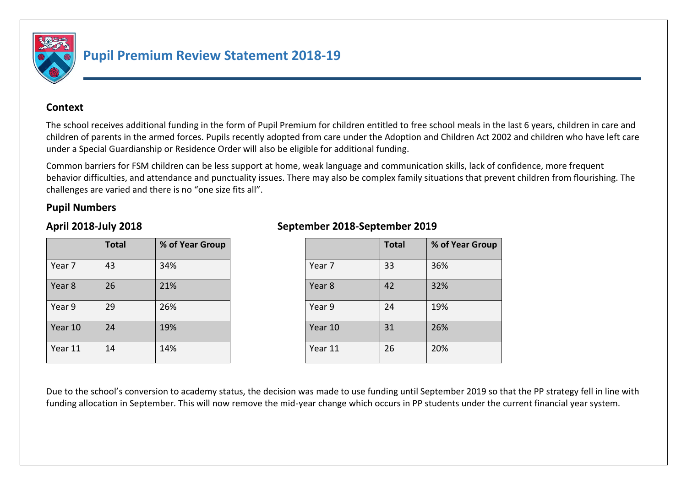

# **Pupil Premium Review Statement 2018-19**

#### **Context**

The school receives additional funding in the form of Pupil Premium for children entitled to free school meals in the last 6 years, children in care and children of parents in the armed forces. Pupils recently adopted from care under the Adoption and Children Act 2002 and children who have left care under a Special Guardianship or Residence Order will also be eligible for additional funding.

Common barriers for FSM children can be less support at home, weak language and communication skills, lack of confidence, more frequent behavior difficulties, and attendance and punctuality issues. There may also be complex family situations that prevent children from flourishing. The challenges are varied and there is no "one size fits all".

#### **Pupil Numbers**

|         | <b>Total</b> | % of Year Group |
|---------|--------------|-----------------|
| Year 7  | 43           | 34%             |
| Year 8  | 26           | 21%             |
| Year 9  | 29           | 26%             |
| Year 10 | 24           | 19%             |
| Year 11 | 14           | 14%             |

# **April 2018-July 2018 September 2018-September 2019**

| <b>Total</b> | % of Year Group |         | <b>Total</b> | % of Year Group |
|--------------|-----------------|---------|--------------|-----------------|
| 43           | 34%             | Year 7  | 33           | 36%             |
| 26           | 21%             | Year 8  | 42           | 32%             |
| 29           | 26%             | Year 9  | 24           | 19%             |
| 24           | 19%             | Year 10 | 31           | 26%             |
| 14           | 14%             | Year 11 | 26           | 20%             |

Due to the school's conversion to academy status, the decision was made to use funding until September 2019 so that the PP strategy fell in line with funding allocation in September. This will now remove the mid-year change which occurs in PP students under the current financial year system.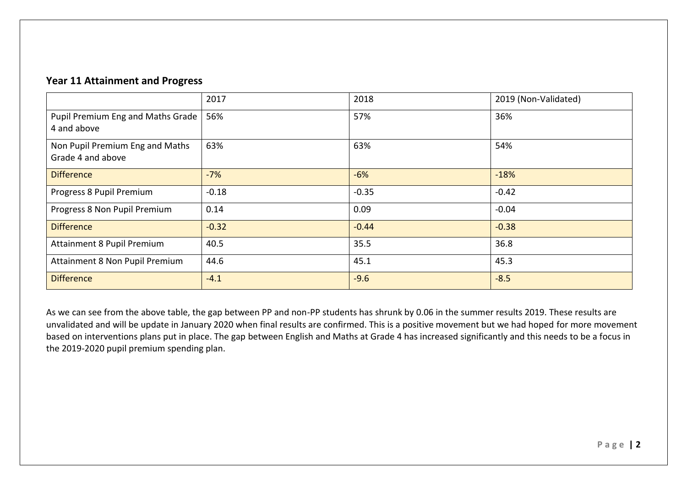### **Year 11 Attainment and Progress**

|                                                      | 2017    | 2018    | 2019 (Non-Validated) |
|------------------------------------------------------|---------|---------|----------------------|
| Pupil Premium Eng and Maths Grade<br>4 and above     | 56%     | 57%     | 36%                  |
| Non Pupil Premium Eng and Maths<br>Grade 4 and above | 63%     | 63%     | 54%                  |
| <b>Difference</b>                                    | $-7%$   | $-6%$   | $-18%$               |
| Progress 8 Pupil Premium                             | $-0.18$ | $-0.35$ | $-0.42$              |
| Progress 8 Non Pupil Premium                         | 0.14    | 0.09    | $-0.04$              |
| <b>Difference</b>                                    | $-0.32$ | $-0.44$ | $-0.38$              |
| Attainment 8 Pupil Premium                           | 40.5    | 35.5    | 36.8                 |
| Attainment 8 Non Pupil Premium                       | 44.6    | 45.1    | 45.3                 |
| <b>Difference</b>                                    | $-4.1$  | $-9.6$  | $-8.5$               |

As we can see from the above table, the gap between PP and non-PP students has shrunk by 0.06 in the summer results 2019. These results are unvalidated and will be update in January 2020 when final results are confirmed. This is a positive movement but we had hoped for more movement based on interventions plans put in place. The gap between English and Maths at Grade 4 has increased significantly and this needs to be a focus in the 2019-2020 pupil premium spending plan.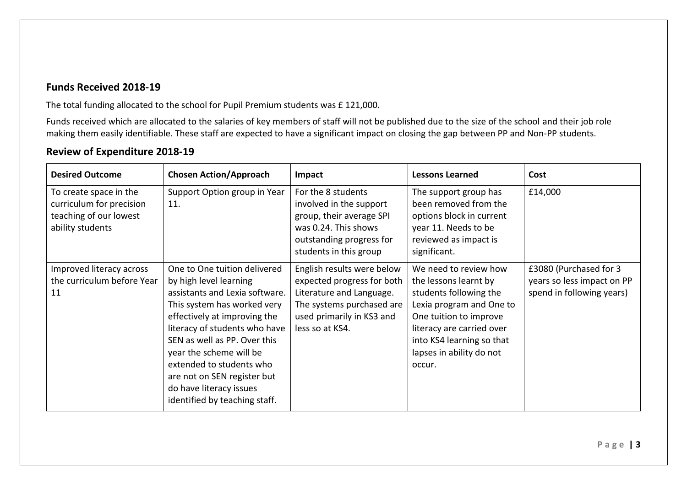# **Funds Received 2018-19**

The total funding allocated to the school for Pupil Premium students was £ 121,000.

Funds received which are allocated to the salaries of key members of staff will not be published due to the size of the school and their job role making them easily identifiable. These staff are expected to have a significant impact on closing the gap between PP and Non-PP students.

# **Review of Expenditure 2018-19**

| <b>Desired Outcome</b>                                                                           | <b>Chosen Action/Approach</b>                                                                                                                                                                                                                                                                                                                                              | Impact                                                                                                                                                            | <b>Lessons Learned</b>                                                                                                                                                                                                         | Cost                                                                              |
|--------------------------------------------------------------------------------------------------|----------------------------------------------------------------------------------------------------------------------------------------------------------------------------------------------------------------------------------------------------------------------------------------------------------------------------------------------------------------------------|-------------------------------------------------------------------------------------------------------------------------------------------------------------------|--------------------------------------------------------------------------------------------------------------------------------------------------------------------------------------------------------------------------------|-----------------------------------------------------------------------------------|
| To create space in the<br>curriculum for precision<br>teaching of our lowest<br>ability students | Support Option group in Year<br>11.                                                                                                                                                                                                                                                                                                                                        | For the 8 students<br>involved in the support<br>group, their average SPI<br>was 0.24. This shows<br>outstanding progress for<br>students in this group           | The support group has<br>been removed from the<br>options block in current<br>year 11. Needs to be<br>reviewed as impact is<br>significant.                                                                                    | £14,000                                                                           |
| Improved literacy across<br>the curriculum before Year<br>11                                     | One to One tuition delivered<br>by high level learning<br>assistants and Lexia software.<br>This system has worked very<br>effectively at improving the<br>literacy of students who have<br>SEN as well as PP. Over this<br>year the scheme will be<br>extended to students who<br>are not on SEN register but<br>do have literacy issues<br>identified by teaching staff. | English results were below<br>expected progress for both<br>Literature and Language.<br>The systems purchased are<br>used primarily in KS3 and<br>less so at KS4. | We need to review how<br>the lessons learnt by<br>students following the<br>Lexia program and One to<br>One tuition to improve<br>literacy are carried over<br>into KS4 learning so that<br>lapses in ability do not<br>occur. | £3080 (Purchased for 3<br>years so less impact on PP<br>spend in following years) |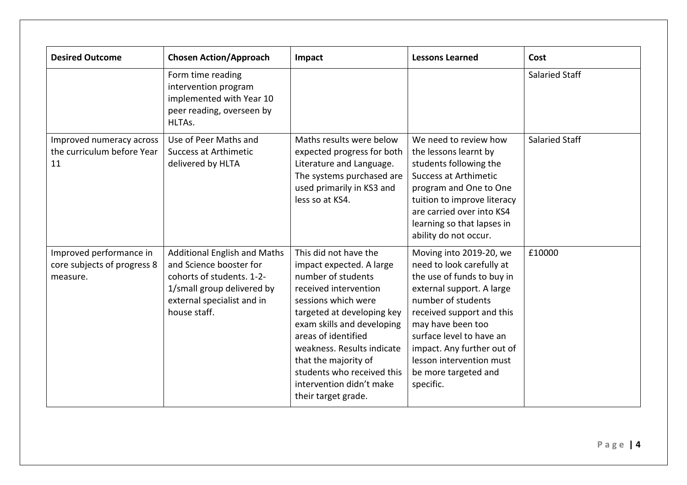| <b>Desired Outcome</b>                                             | <b>Chosen Action/Approach</b>                                                                                                                                           | Impact                                                                                                                                                                                                                                                                                                                                            | <b>Lessons Learned</b>                                                                                                                                                                                                                                                                                             | Cost                  |
|--------------------------------------------------------------------|-------------------------------------------------------------------------------------------------------------------------------------------------------------------------|---------------------------------------------------------------------------------------------------------------------------------------------------------------------------------------------------------------------------------------------------------------------------------------------------------------------------------------------------|--------------------------------------------------------------------------------------------------------------------------------------------------------------------------------------------------------------------------------------------------------------------------------------------------------------------|-----------------------|
|                                                                    | Form time reading<br>intervention program<br>implemented with Year 10<br>peer reading, overseen by<br>HLTAs.                                                            |                                                                                                                                                                                                                                                                                                                                                   |                                                                                                                                                                                                                                                                                                                    | Salaried Staff        |
| Improved numeracy across<br>the curriculum before Year<br>11       | Use of Peer Maths and<br>Success at Arthimetic<br>delivered by HLTA                                                                                                     | Maths results were below<br>expected progress for both<br>Literature and Language.<br>The systems purchased are<br>used primarily in KS3 and<br>less so at KS4.                                                                                                                                                                                   | We need to review how<br>the lessons learnt by<br>students following the<br><b>Success at Arthimetic</b><br>program and One to One<br>tuition to improve literacy<br>are carried over into KS4<br>learning so that lapses in<br>ability do not occur.                                                              | <b>Salaried Staff</b> |
| Improved performance in<br>core subjects of progress 8<br>measure. | <b>Additional English and Maths</b><br>and Science booster for<br>cohorts of students. 1-2-<br>1/small group delivered by<br>external specialist and in<br>house staff. | This did not have the<br>impact expected. A large<br>number of students<br>received intervention<br>sessions which were<br>targeted at developing key<br>exam skills and developing<br>areas of identified<br>weakness. Results indicate<br>that the majority of<br>students who received this<br>intervention didn't make<br>their target grade. | Moving into 2019-20, we<br>need to look carefully at<br>the use of funds to buy in<br>external support. A large<br>number of students<br>received support and this<br>may have been too<br>surface level to have an<br>impact. Any further out of<br>lesson intervention must<br>be more targeted and<br>specific. | £10000                |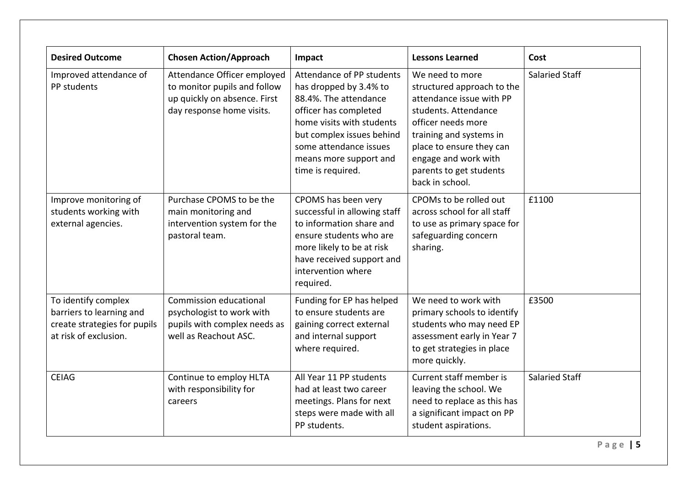| <b>Desired Outcome</b>                                                                                   | <b>Chosen Action/Approach</b>                                                                                            | Impact                                                                                                                                                                                                                                   | <b>Lessons Learned</b>                                                                                                                                                                                                                               | Cost                  |
|----------------------------------------------------------------------------------------------------------|--------------------------------------------------------------------------------------------------------------------------|------------------------------------------------------------------------------------------------------------------------------------------------------------------------------------------------------------------------------------------|------------------------------------------------------------------------------------------------------------------------------------------------------------------------------------------------------------------------------------------------------|-----------------------|
| Improved attendance of<br>PP students                                                                    | Attendance Officer employed<br>to monitor pupils and follow<br>up quickly on absence. First<br>day response home visits. | Attendance of PP students<br>has dropped by 3.4% to<br>88.4%. The attendance<br>officer has completed<br>home visits with students<br>but complex issues behind<br>some attendance issues<br>means more support and<br>time is required. | We need to more<br>structured approach to the<br>attendance issue with PP<br>students. Attendance<br>officer needs more<br>training and systems in<br>place to ensure they can<br>engage and work with<br>parents to get students<br>back in school. | <b>Salaried Staff</b> |
| Improve monitoring of<br>students working with<br>external agencies.                                     | Purchase CPOMS to be the<br>main monitoring and<br>intervention system for the<br>pastoral team.                         | CPOMS has been very<br>successful in allowing staff<br>to information share and<br>ensure students who are<br>more likely to be at risk<br>have received support and<br>intervention where<br>required.                                  | CPOMs to be rolled out<br>across school for all staff<br>to use as primary space for<br>safeguarding concern<br>sharing.                                                                                                                             | £1100                 |
| To identify complex<br>barriers to learning and<br>create strategies for pupils<br>at risk of exclusion. | Commission educational<br>psychologist to work with<br>pupils with complex needs as<br>well as Reachout ASC.             | Funding for EP has helped<br>to ensure students are<br>gaining correct external<br>and internal support<br>where required.                                                                                                               | We need to work with<br>primary schools to identify<br>students who may need EP<br>assessment early in Year 7<br>to get strategies in place<br>more quickly.                                                                                         | £3500                 |
| <b>CEIAG</b>                                                                                             | Continue to employ HLTA<br>with responsibility for<br>careers                                                            | All Year 11 PP students<br>had at least two career<br>meetings. Plans for next<br>steps were made with all<br>PP students.                                                                                                               | Current staff member is<br>leaving the school. We<br>need to replace as this has<br>a significant impact on PP<br>student aspirations.                                                                                                               | <b>Salaried Staff</b> |